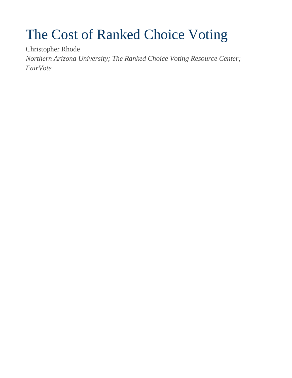# The Cost of Ranked Choice Voting

Christopher Rhode

*Northern Arizona University; The Ranked Choice Voting Resource Center; FairVote*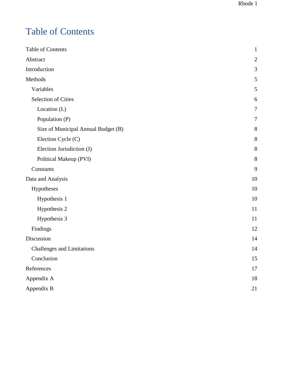# <span id="page-1-0"></span>Table of Contents

| Table of Contents                   | $\mathbf{1}$   |
|-------------------------------------|----------------|
| Abstract                            | $\mathfrak{2}$ |
| Introduction                        | 3              |
| Methods                             | 5              |
| Variables                           | $\mathfrak{S}$ |
| <b>Selection of Cities</b>          | 6              |
| Location (L)                        | 7              |
| Population (P)                      | 7              |
| Size of Municipal Annual Budget (B) | 8              |
| Election Cycle (C)                  | 8              |
| Election Jurisdiction (J)           | 8              |
| Political Makeup (PVI)              | 8              |
| Constants                           | 9              |
| Data and Analysis                   | 10             |
| Hypotheses                          | 10             |
| Hypothesis 1                        | 10             |
| Hypothesis 2                        | 11             |
| Hypothesis 3                        | 11             |
| Findings                            | 12             |
| Discussion                          | 14             |
| <b>Challenges and Limitations</b>   | 14             |
| Conclusion                          | 15             |
| References                          | 17             |
| Appendix A                          | 18             |
| Appendix B                          | 21             |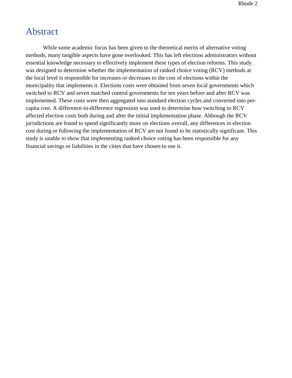### <span id="page-2-0"></span>Abstract

While some academic focus has been given to the theoretical merits of alternative voting methods, many tangible aspects have gone overlooked. This has left elections administrators without essential knowledge necessary to effectively implement these types of election reforms. This study was designed to determine whether the implementation of ranked choice voting (RCV) methods at the local level is responsible for increases or decreases to the cost of elections within the municipality that implements it. Elections costs were obtained from seven local governments which switched to RCV and seven matched control governments for ten years before and after RCV was implemented. These costs were then aggregated into standard election cycles and converted into percapita cost. A difference-in-difference regression was used to determine how switching to RCV affected election costs both during and after the initial implementation phase. Although the RCV jurisdictions are found to spend significantly more on elections overall, any differences in election cost during or following the implementation of RCV are not found to be statistically significant. This study is unable to show that implementing ranked choice voting has been responsible for any financial savings or liabilities in the cities that have chosen to use it.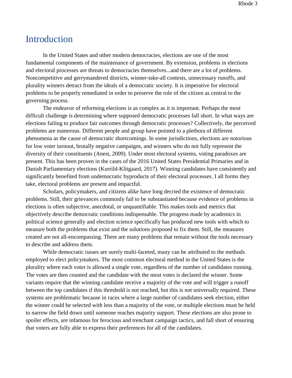### <span id="page-3-0"></span>Introduction

In the United States and other modern democracies, elections are one of the most fundamental components of the maintenance of government. By extension, problems in elections and electoral processes are threats to democracies themselves...and there are a lot of problems. Noncompetitive and gerrymandered districts, winner-take-all contests, unnecessary runoffs, and plurality winners detract from the ideals of a democratic society. It is imperative for electoral problems to be properly remediated in order to preserve the role of the citizen as central to the governing process.

The endeavor of reforming elections is as complex as it is important. Perhaps the most difficult challenge is determining where supposed democratic processes fall short. In what ways are elections failing to produce fair outcomes through democratic processes? Collectively, the perceived problems are numerous. Different people and group have pointed to a plethora of different phenomena as the cause of democratic shortcomings. In some jurisdictions, elections are notorious for low voter turnout, brutally negative campaigns, and winners who do not fully represent the diversity of their constituents (Anest, 2009). Under most electoral systems, voting paradoxes are present. This has been proven in the cases of the 2016 United States Presidential Primaries and in Danish Parliamentary elections (Kurrild-Klitgaard, 2017). Winning candidates have consistently and significantly benefited from undemocratic byproducts of their electoral processes. I all forms they take, electoral problems are present and impactful.

Scholars, policymakers, and citizens alike have long decried the existence of democratic problems. Still, their grievances commonly fail to be substantiated because evidence of problems in elections is often subjective, anecdotal, or unquantifiable. This makes tools and metrics that objectively describe democratic conditions indispensable. The progress made by academics in political science generally and election science specifically has produced new tools with which to measure both the problems that exist and the solutions proposed to fix them. Still, the measures created are not all-encompassing. There are many problems that remain without the tools necessary to describe and address them.

While democratic issues are surely multi-faceted, many can be attributed to the methods employed to elect policymakers. The most common electoral method in the United States is the plurality where each voter is allowed a single vote, regardless of the number of candidates running. The votes are then counted and the candidate with the most votes is declared the winner. Some variants require that the winning candidate receive a majority of the vote and will trigger a runoff between the top candidates if this threshold is not reached, but this is not universally required. These systems are problematic because in races where a large number of candidates seek election, either the winner could be selected with less than a majority of the vote, or multiple elections must be held to narrow the field down until someone reaches majority support. These elections are also prone to spoiler effects, are infamous for ferocious and trenchant campaign tactics, and fall short of ensuring that voters are fully able to express their preferences for all of the candidates.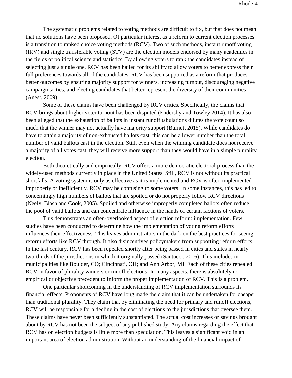The systematic problems related to voting methods are difficult to fix, but that does not mean that no solutions have been proposed. Of particular interest as a reform to current election processes is a transition to ranked choice voting methods (RCV). Two of such methods, instant runoff voting (IRV) and single transferable voting (STV) are the election models endorsed by many academics in the fields of political science and statistics. By allowing voters to rank the candidates instead of selecting just a single one, RCV has been hailed for its ability to allow voters to better express their full preferences towards all of the candidates. RCV has been supported as a reform that produces better outcomes by ensuring majority support for winners, increasing turnout, discouraging negative campaign tactics, and electing candidates that better represent the diversity of their communities (Anest, 2009).

Some of these claims have been challenged by RCV critics. Specifically, the claims that RCV brings about higher voter turnout has been disputed (Endersby and Towley 2014). It has also been alleged that the exhaustion of ballots in instant runoff tabulations dilutes the vote count so much that the winner may not actually have majority support (Burnett 2015). While candidates do have to attain a majority of non-exhausted ballots cast, this can be a lower number than the total number of valid ballots cast in the election. Still, even when the winning candidate does not receive a majority of all votes cast, they will receive more support than they would have in a simple plurality election.

Both theoretically and empirically, RCV offers a more democratic electoral process than the widely-used methods currently in place in the United States. Still, RCV is not without its practical shortfalls. A voting system is only as effective as it is implemented and RCV is often implemented improperly or inefficiently. RCV may be confusing to some voters. In some instances, this has led to concerningly high numbers of ballots that are spoiled or do not properly follow RCV directions (Neely, Blash and Cook, 2005). Spoiled and otherwise improperly completed ballots often reduce the pool of valid ballots and can concentrate influence in the hands of certain factions of voters.

This demonstrates an often-overlooked aspect of election reform: implementation. Few studies have been conducted to determine how the implementation of voting reform efforts influences their effectiveness. This leaves administrators in the dark on the best practices for seeing reform efforts like RCV through. It also disincentives policymakers from supporting reform efforts. In the last century, RCV has been repealed shortly after being passed in cities and states in nearly two-thirds of the jurisdictions in which it originally passed (Santucci, 2016). This includes in municipalities like Boulder, CO; Cincinnati, OH; and Ann Arbor, MI. Each of these cities repealed RCV in favor of plurality winners or runoff elections. In many aspects, there is absolutely no empirical or objective precedent to inform the proper implementation of RCV. This is a problem.

One particular shortcoming in the understanding of RCV implementation surrounds its financial effects. Proponents of RCV have long made the claim that it can be undertaken for cheaper than traditional plurality. They claim that by eliminating the need for primary and runoff elections, RCV will be responsible for a decline in the cost of elections to the jurisdictions that oversee them. These claims have never been sufficiently substantiated. The actual cost increases or savings brought about by RCV has not been the subject of any published study. Any claims regarding the effect that RCV has on election budgets is little more than speculation. This leaves a significant void in an important area of election administration. Without an understanding of the financial impact of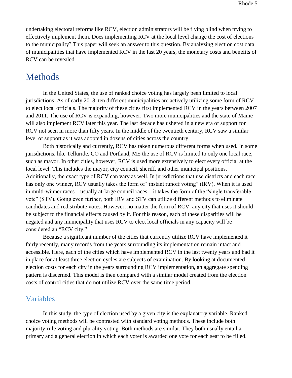undertaking electoral reforms like RCV, election administrators will be flying blind when trying to effectively implement them. Does implementing RCV at the local level change the cost of elections to the municipality? This paper will seek an answer to this question. By analyzing election cost data of municipalities that have implemented RCV in the last 20 years, the monetary costs and benefits of RCV can be revealed.

### <span id="page-5-0"></span>Methods

In the United States, the use of ranked choice voting has largely been limited to local jurisdictions. As of early 2018, ten different municipalities are actively utilizing some form of RCV to elect local officials. The majority of these cities first implemented RCV in the years between 2007 and 2011. The use of RCV is expanding, however. Two more municipalities and the state of Maine will also implement RCV later this year. The last decade has ushered in a new era of support for RCV not seen in more than fifty years. In the middle of the twentieth century, RCV saw a similar level of support as it was adopted in dozens of cities across the country.

Both historically and currently, RCV has taken numerous different forms when used. In some jurisdictions, like Telluride, CO and Portland, ME the use of RCV is limited to only one local race, such as mayor. In other cities, however, RCV is used more extensively to elect every official at the local level. This includes the mayor, city council, sheriff, and other municipal positions. Additionally, the exact type of RCV can vary as well. In jurisdictions that use districts and each race has only one winner, RCV usually takes the form of "instant runoff voting" (IRV). When it is used in multi-winner races – usually at-large council races – it takes the form of the "single transferable vote" (STV). Going even further, both IRV and STV can utilize different methods to eliminate candidates and redistribute votes. However, no matter the form of RCV, any city that uses it should be subject to the financial effects caused by it. For this reason, each of these disparities will be negated and any municipality that uses RCV to elect local officials in any capacity will be considered an "RCV city."

Because a significant number of the cities that currently utilize RCV have implemented it fairly recently, many records from the years surrounding its implementation remain intact and accessible. Here, each of the cities which have implemented RCV in the last twenty years and had it in place for at least three election cycles are subjects of examination. By looking at documented election costs for each city in the years surrounding RCV implementation, an aggregate spending pattern is discerned. This model is then compared with a similar model created from the election costs of control cities that do not utilize RCV over the same time period.

### <span id="page-5-1"></span>Variables

In this study, the type of election used by a given city is the explanatory variable. Ranked choice voting methods will be contrasted with standard voting methods. These include both majority-rule voting and plurality voting. Both methods are similar. They both usually entail a primary and a general election in which each voter is awarded one vote for each seat to be filled.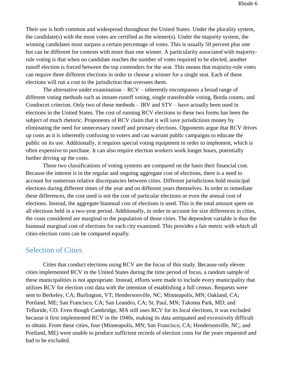Their use is both common and widespread throughout the United States. Under the plurality system, the candidate(s) with the most votes are certified as the winner(s). Under the majority system, the winning candidates must surpass a certain percentage of votes. This is usually 50 percent plus one but can be different for contests with more than one winner. A particularity associated with majorityrule voting is that when no candidate reaches the number of votes required to be elected, another runoff election is forced between the top contenders for the seat. This means that majority-rule votes can require three different elections in order to choose a winner for a single seat. Each of these elections will run a cost to the jurisdiction that oversees them.

The alternative under examination – RCV – inherently encompasses a broad range of different voting methods such as instant-runoff voting, single transferable voting, Borda counts, and Condorcet criterion. Only two of these methods – IRV and STV – have actually been used in elections in the United States. The cost of running RCV elections in these two forms has been the subject of much rhetoric. Proponents of RCV claim that it will save jurisdictions money by eliminating the need for unnecessary runoff and primary elections. Opponents argue that RCV drives up costs as it is inherently confusing to voters and can warrant public campaigns to educate the public on its use. Additionally, it requires special voting equipment in order to implement, which is often expensive to purchase. It can also require election workers work longer hours, potentially further driving up the costs.

These two classifications of voting systems are compared on the basis their financial cost. Because the interest is in the regular and ongoing aggregate cost of elections, there is a need to account for numerous relative discrepancies between cities. Different jurisdictions hold municipal elections during different times of the year and on different years themselves. In order to remediate these differences, the cost used is not the cost of particular elections or even the annual cost of elections. Instead, the aggregate biannual cost of elections is used. This is the total amount spent on all elections held in a two-year period. Additionally, in order to account for size differences in cities, the costs considered are marginal to the population of those cities. The dependent variable is thus the biannual marginal cost of elections for each city examined. This provides a fair metric with which all cities election costs can be compared equally.

### <span id="page-6-0"></span>Selection of Cities

Cities that conduct elections using RCV are the focus of this study. Because only eleven cities implemented RCV in the United States during the time period of focus, a random sample of these municipalities is not appropriate. Instead, efforts were made to include every municipality that utilizes RCV for election cost data with the intention of establishing a full census. Requests were sent to Berkeley, CA; Burlington, VT; Hendersonville, NC; Minneapolis, MN; Oakland, CA; Portland, ME; San Francisco, CA; San Leandro, CA; St. Paul, MN; Takoma Park, MD; and Telluride, CO. Even though Cambridge, MA still uses RCV for its local elections, it was excluded because it first implemented RCV in the 1940s, making its data antiquated and excessively difficult to obtain. From these cities, four (Minneapolis, MN; San Francisco, CA; Hendersonville, NC; and Portland, ME) were unable to produce sufficient records of election costs for the years requested and had to be excluded.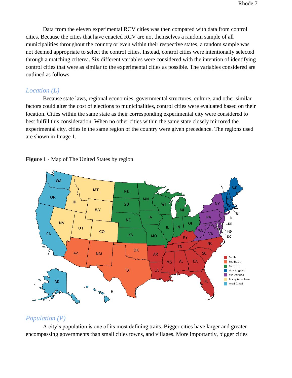Data from the eleven experimental RCV cities was then compared with data from control cities. Because the cities that have enacted RCV are not themselves a random sample of all municipalities throughout the country or even within their respective states, a random sample was not deemed appropriate to select the control cities. Instead, control cities were intentionally selected through a matching criterea. Six different variables were considered with the intention of identifying control cities that were as similar to the experimental cities as possible. The variables considered are outlined as follows.

#### <span id="page-7-0"></span>*Location (L)*

Because state laws, regional economies, governmental structures, culture, and other similar factors could alter the cost of elections to municipalities, control cities were evaluated based on their location. Cities within the same state as their corresponding experimental city were considered to best fulfill this consideration. When no other cities within the same state closely mirrored the experimental city, cities in the same region of the country were given precedence. The regions used are shown in Image 1*.*



**Figure 1** - Map of The United States by region

### <span id="page-7-1"></span>*Population (P)*

A city's population is one of its most defining traits. Bigger cities have larger and greater encompassing governments than small cities towns, and villages. More importantly, bigger cities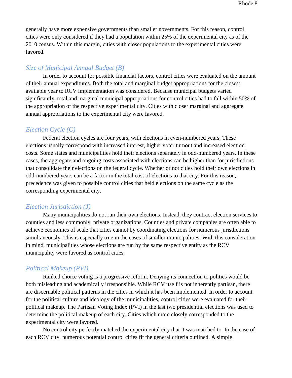generally have more expensive governments than smaller governments. For this reason, control cities were only considered if they had a population within 25% of the experimental city as of the 2010 census. Within this margin, cities with closer populations to the experimental cities were favored.

### <span id="page-8-0"></span>*Size of Municipal Annual Budget (B)*

In order to account for possible financial factors, control cities were evaluated on the amount of their annual expenditures. Both the total and marginal budget appropriations for the closest available year to RCV implementation was considered. Because municipal budgets varied significantly, total and marginal municipal appropriations for control cities had to fall within 50% of the appropriation of the respective experimental city. Cities with closer marginal and aggregate annual appropriations to the experimental city were favored.

### <span id="page-8-1"></span>*Election Cycle (C)*

Federal election cycles are four years, with elections in even-numbered years. These elections usually correspond with increased interest, higher voter turnout and increased election costs. Some states and municipalities hold their elections separately in odd-numbered years. In these cases, the aggregate and ongoing costs associated with elections can be higher than for jurisdictions that consolidate their elections on the federal cycle. Whether or not cities hold their own elections in odd-numbered years can be a factor in the total cost of elections to that city. For this reason, precedence was given to possible control cities that held elections on the same cycle as the corresponding experimental city.

#### <span id="page-8-2"></span>*Election Jurisdiction (J)*

Many municipalities do not run their own elections. Instead, they contract election services to counties and less commonly, private organizations. Counties and private companies are often able to achieve economies of scale that cities cannot by coordinating elections for numerous jurisdictions simultaneously. This is especially true in the cases of smaller municipalities. With this consideration in mind, municipalities whose elections are run by the same respective entity as the RCV municipality were favored as control cities.

### <span id="page-8-3"></span>*Political Makeup (PVI)*

Ranked choice voting is a progressive reform. Denying its connection to politics would be both misleading and academically irresponsible. While RCV itself is not inherently partisan, there are discernable political patterns in the cities in which it has been implemented. In order to account for the political culture and ideology of the municipalities, control cities were evaluated for their political makeup. The Partisan Voting Index (PVI) in the last two presidential elections was used to determine the political makeup of each city. Cities which more closely corresponded to the experimental city were favored.

No control city perfectly matched the experimental city that it was matched to. In the case of each RCV city, numerous potential control cities fit the general criteria outlined. A simple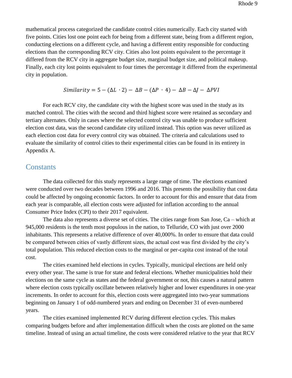mathematical process categorized the candidate control cities numerically. Each city started with five points. Cities lost one point each for being from a different state, being from a different region, conducting elections on a different cycle, and having a different entity responsible for conducting elections than the corresponding RCV city. Cities also lost points equivalent to the percentage it differed from the RCV city in aggregate budget size, marginal budget size, and political makeup. Finally, each city lost points equivalent to four times the percentage it differed from the experimental city in population.

Similarly = 
$$
5 - (\Delta L \cdot 2) - \Delta B - (\Delta P \cdot 4) - \Delta B - \Delta J - \Delta PVI
$$

For each RCV city, the candidate city with the highest score was used in the study as its matched control. The cities with the second and third highest score were retained as secondary and tertiary alternates. Only in cases where the selected control city was unable to produce sufficient election cost data, was the second candidate city utilized instead. This option was never utilized as each election cost data for every control city was obtained. The criteria and calculations used to evaluate the similarity of control cities to their experimental cities can be found in its entirety in Appendix A.

#### <span id="page-9-0"></span>**Constants**

The data collected for this study represents a large range of time. The elections examined were conducted over two decades between 1996 and 2016. This presents the possibility that cost data could be affected by ongoing economic factors. In order to account for this and ensure that data from each year is comparable, all election costs were adjusted for inflation according to the annual Consumer Price Index (CPI) to their 2017 equivalent.

The data also represents a diverse set of cities. The cities range from San Jose, Ca – which at 945,000 residents is the tenth most populous in the nation, to Telluride, CO with just over 2000 inhabitants. This represents a relative difference of over 40,000%. In order to ensure that data could be compared between cities of vastly different sizes, the actual cost was first divided by the city's total population. This reduced election costs to the marginal or per-capita cost instead of the total cost.

The cities examined held elections in cycles. Typically, municipal elections are held only every other year. The same is true for state and federal elections. Whether municipalities hold their elections on the same cycle as states and the federal government or not, this causes a natural pattern where election costs typically oscillate between relatively higher and lower expenditures in one-year increments. In order to account for this, election costs were aggregated into two-year summations beginning on January 1 of odd-numbered years and ending on December 31 of even-numbered years.

The cities examined implemented RCV during different election cycles. This makes comparing budgets before and after implementation difficult when the costs are plotted on the same timeline. Instead of using an actual timeline, the costs were considered relative to the year that RCV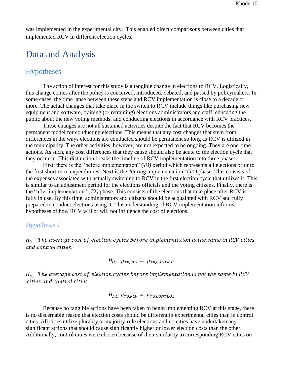was implemented in the experimental city. This enabled direct comparisons between cities that implemented RCV in different election cycles.

### <span id="page-10-0"></span>Data and Analysis

### <span id="page-10-1"></span>Hypotheses

 The action of interest for this study is a tangible change in elections to RCV. Logistically, this change comes after the policy is conceived, introduced, debated, and passed by policymakers. In some cases, the time lapse between these steps and RCV implementation is close to a decade or more. The actual changes that take place in the switch to RCV include things like purchasing new equipment and software, training (or retraining) elections administrators and staff, educating the public about the new voting methods, and conducting elections in accordance with RCV practices.

 These changes are not all sustained activities despite the fact that RCV becomes the permanent model for conducting elections. This means that any cost changes that stem from differences in the ways elections are conducted should be permanent so long as RCV is utilized in the municipality. The other activities, however, are not expected to be ongoing. They are one-time actions. As such, any cost differences that they cause should also be acute to the election cycle that they occur in. This distinction breaks the timeline of RCV implementation into three phases.

First, there is the "before implementation" (*T*0*)* period which represents all elections prior to the first short-term expenditures. Next is the "during implementation" (*T*1*)* phase. This consists of the expenses associated with actually switching to RCV in the first election cycle that utilizes it. This is similar to an adjustment period for the elections officials and the voting citizens. Finally, there is the "after implementation" (*T*2*)* phase. This consists of the elections that take place after RCV is fully in use. By this time, administrators and citizens should be acquainted with RCV and fully prepared to conduct elections using it. This understanding of RCV implementation informs hypotheses of how RCV will or will not influence the cost of elections.

#### <span id="page-10-2"></span>*Hypothesis 1*

 $H_{0,1}$ : The average cost of election cycles before implementation is the same in RCV cities and control cities.

$$
H_{O,1}: \mu_{T0,RCV} = \mu_{T0,CONTROL}
$$

 $H_{A,1}$ : The average cost of election cycles before implementation is not the same in RCV cities and control cities

$$
H_{A,1}: \mu_{T0,RCV} \neq \mu_{T0,CONTROL}
$$

Because no tangible actions have been taken to begin implementing RCV at this stage, there is no discernable reason that election costs should be different in experimental cities than in control cities. All cities utilize plurality or majority-rule elections and no cities have undertaken any significant actions that should cause significantly higher or lower election costs than the other. Additionally, control cities were chosen because of their similarity to corresponding RCV cities on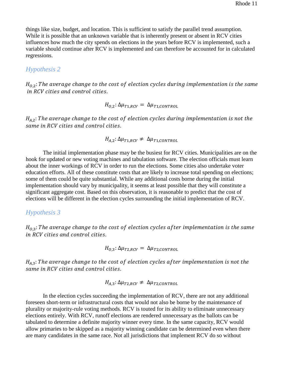things like size, budget, and location. This is sufficient to satisfy the parallel trend assumption. While it is possible that an unknown variable that is inherently present or absent in RCV cities influences how much the city spends on elections in the years before RCV is implemented, such a variable should continue after RCV is implemented and can therefore be accounted for in calculated regressions.

#### <span id="page-11-0"></span>*Hypothesis 2*

 $H_{0,2}$ : The average change to the cost of election cycles during implementation is the same in RCV cities and control cities.

$$
H_{O,2}: \Delta \mu_{T1,RCV} = \Delta \mu_{T1,CONTROL}
$$

 $H_{A,2}$ : The average change to the cost of election cycles during implementation is not the same in RCV cities and control cities.

$$
H_{A,2}: \Delta \mu_{T1,RCV} \neq \Delta \mu_{T1,CONTROL}
$$

 The initial implementation phase may be the busiest for RCV cities. Municipalities are on the hook for updated or new voting machines and tabulation software. The election officials must learn about the inner workings of RCV in order to run the elections. Some cities also undertake voter education efforts. All of these constitute costs that are likely to increase total spending on elections; some of them could be quite substantial. While any additional costs borne during the initial implementation should vary by municipality, it seems at least possible that they will constitute a significant aggregate cost. Based on this observation, it is reasonable to predict that the cost of elections will be different in the election cycles surrounding the initial implementation of RCV.

#### <span id="page-11-1"></span>*Hypothesis 3*

 $H_{0,3}$ : The average change to the cost of election cycles after implementation is the same in RCV cities and control cities.

$$
H_{O,3}: \Delta \mu_{T2,RCV} = \Delta \mu_{T2,CONTROL}
$$

 $H_{A,3}$ : The average change to the cost of election cycles after implementation is not the same in RCV cities and control cities.

$$
H_{A,3}: \Delta \mu_{T2,RCV} \neq \Delta \mu_{T2,CONTROL}
$$

 In the election cycles succeeding the implementation of RCV, there are not any additional foreseen short-term or infrastructural costs that would not also be borne by the maintenance of plurality or majority-rule voting methods. RCV is touted for its ability to eliminate unnecessary elections entirely. With RCV, runoff elections are rendered unnecessary as the ballots can be tabulated to determine a definite majority winner every time. In the same capacity, RCV would allow primaries to be skipped as a majority winning candidate can be determined even when there are many candidates in the same race. Not all jurisdictions that implement RCV do so without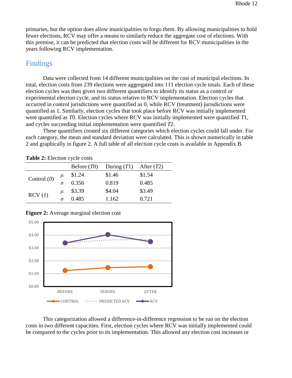primaries, but the option does allow municipalities to forgo them. By allowing municipalities to hold fewer elections, RCV may offer a means to similarly reduce the aggregate cost of elections. With this premise, it can be predicted that election costs will be different for RCV municipalities in the years following RCV implementation.

### <span id="page-12-0"></span>Findings

 Data were collected from 14 different municipalities on the cost of municipal elections. In total, election costs from 239 elections were aggregated into 111 election cycle totals. Each of these election cycles was then given two different quantifiers to identify its status as a control or experimental election cycle, and its status relative to RCV implementation. Election cycles that occurred in control jurisdictions were quantified as 0, while RCV (treatment) jurisdictions were quantified as 1. Similarly, election cycles that took place before RCV was initially implemented were quantified as *T*0. Election cycles where RCV was initially implemented were quantified *T*1, and cycles succeeding initial implementation were quantified *T*2.

These quantifiers created six different categories which election cycles could fall under. For each category, the mean and standard deviation were calculated. This is shown numerically in table 2 and graphically in figure 2. A full table of all election cycle costs is available in Appendix B.

| <b>Table 2:</b> Election cycle costs |          |               |               |              |  |  |  |  |  |  |
|--------------------------------------|----------|---------------|---------------|--------------|--|--|--|--|--|--|
|                                      |          | Before $(T0)$ | During $(T1)$ | After $(T2)$ |  |  |  |  |  |  |
| Control $(0)$                        | $\mu$    | \$1.24        | \$1.46        | \$1.54       |  |  |  |  |  |  |
|                                      | $\sigma$ | 0.356         | 0.819         | 0.485        |  |  |  |  |  |  |
| RCV (1)                              | и        | \$3.39        | \$4.04        | \$3.49       |  |  |  |  |  |  |
|                                      |          | 0.485         | 1.162         | 0.721        |  |  |  |  |  |  |

**Figure 2:** Average marginal election cost



This categorization allowed a difference-in-difference regression to be run on the election costs in two different capacities. First, election cycles where RCV was initially implemented could be compared to the cycles prior to its implementation. This allowed any election cost increases or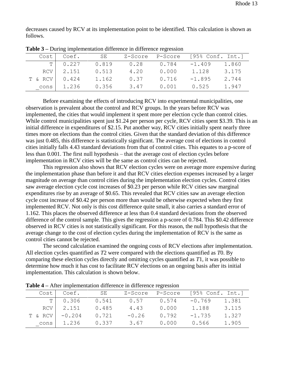decreases caused by RCV at its implementation point to be identified. This calculation is shown as follows.

|         | Cost   Coef. | SE    |      | Z-Score P-Score | [95% Conf. Int.] |       |
|---------|--------------|-------|------|-----------------|------------------|-------|
| TΙ      | 0.227        | 0.819 | 0.28 | 0.784           | $-1.409$         | 1.860 |
| RCV I   | 2.151        | 0.513 | 4.20 | 0.000           | 1.128            | 3.175 |
| T & RCV | 0.424        | 1.162 | 0.37 | 0.716           | $-1.895$         | 2.744 |
| cons    | 1.236        | 0.356 | 3.47 | 0.001           | 0.525            | 1.947 |

**Table 3 –** During implementation difference in difference regression

Before examining the effects of introducing RCV into experimental municipalities, one observation is prevalent about the control and RCV groups. In the years before RCV was implemented, the cities that would implement it spent more per election cycle than control cities. While control municipalities spent just \$1.24 per person per cycle, RCV cities spent \$3.39. This is an initial difference in expenditures of \$2.15. Put another way, RCV cities initially spent nearly three times more on elections than the control cities. Given that the standard deviation of this difference was just 0.485, this difference is statistically significant. The average cost of elections in control cities initially falls 4.43 standard deviations from that of control cities. This equates to a p-score of less than 0.001. The first null hypothesis – that the average cost of election cycles before implementation in RCV cities will be the same as control cities can be rejected.

This regression also shows that RCV election cycles were on average more expensive during the implementation phase than before it and that RCV cities election expenses increased by a larger magnitude on average than control cities during the implementation election cycles. Control cities saw average election cycle cost increases of \$0.23 per person while RCV cities saw marginal expenditures rise by an average of \$0.65. This revealed that RCV cities saw an average election cycle cost increase of \$0.42 per person more than would be otherwise expected when they first implemented RCV. Not only is this cost difference quite small, it also carries a standard error of 1.162. This places the observed difference at less than 0.4 standard deviations from the observed difference of the control sample. This gives the regression a p-score of 0.784. This \$0.42 difference observed in RCV cities is not statistically significant. For this reason, the null hypothesis that the average change to the cost of election cycles during the implementation of RCV is the same as control cities cannot be rejected.

The second calculation examined the ongoing costs of RCV elections after implementation. All election cycles quantified as *T*2 were compared with the elections quantified as *T*0. By comparing these election cycles directly and omitting cycles quantified as *T*1*,* it was possible to determine how much it has cost to facilitate RCV elections on an ongoing basis after its initial implementation. This calculation is shown below.

|                  | Cost   Coef.    | SE    |              |       | Z-Score P-Score [95% Conf. Int.] |       |
|------------------|-----------------|-------|--------------|-------|----------------------------------|-------|
|                  | $T$ 0.306 0.541 |       | $0.57$ 0.574 |       | $-0.769$                         | 1.381 |
|                  | RCV 2.151       | 0.485 | 4.43         | 0.000 | 1.188                            | 3.115 |
| $T & RCV$ -0.204 |                 | 0.721 | $-0.26$      | 0.792 | $-1.735$                         | 1.327 |
| cons             | 1.236           | 0.337 | 3.67         | 0.000 | 0.566                            | 1.905 |

**Table 4 –** After implementation difference in difference regression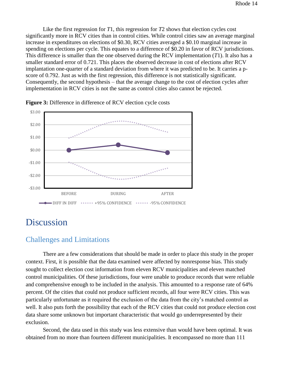Like the first regression for *T*1, this regression for *T*2 shows that election cycles cost significantly more in RCV cities than in control cities. While control cities saw an average marginal increase in expenditures on elections of \$0.30, RCV cities averaged a \$0.10 marginal increase in spending on elections per cycle. This equates to a difference of \$0.20 in favor of RCV jurisdictions. This difference is smaller than the one observed during the RCV implementation (*T*1). It also has a smaller standard error of 0.721. This places the observed decrease in cost of elections after RCV implantation one-quarter of a standard deviation from where it was predicted to be. It carries a pscore of 0.792. Just as with the first regression, this difference is not statistically significant. Consequently, the second hypothesis – that the average change to the cost of election cycles after implementation in RCV cities is not the same as control cities also cannot be rejected.



**Figure 3:** Difference in difference of RCV election cycle costs

### <span id="page-14-0"></span>Discussion

### <span id="page-14-1"></span>Challenges and Limitations

There are a few considerations that should be made in order to place this study in the proper context. First, it is possible that the data examined were affected by nonresponse bias. This study sought to collect election cost information from eleven RCV municipalities and eleven matched control municipalities. Of these jurisdictions, four were unable to produce records that were reliable and comprehensive enough to be included in the analysis. This amounted to a response rate of 64% percent. Of the cities that could not produce sufficient records, all four were RCV cities. This was particularly unfortunate as it required the exclusion of the data from the city's matched control as well. It also puts forth the possibility that each of the RCV cities that could not produce election cost data share some unknown but important characteristic that would go underrepresented by their exclusion.

Second, the data used in this study was less extensive than would have been optimal. It was obtained from no more than fourteen different municipalities. It encompassed no more than 111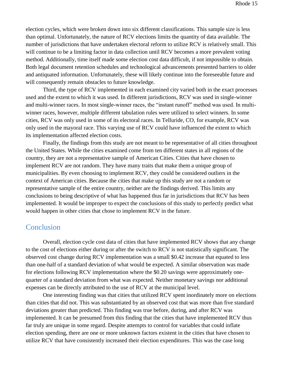election cycles, which were broken down into six different classifications. This sample size is less than optimal. Unfortunately, the nature of RCV elections limits the quantity of data available. The number of jurisdictions that have undertaken electoral reform to utilize RCV is relatively small. This will continue to be a limiting factor in data collection until RCV becomes a more prevalent voting method. Additionally, time itself made some election cost data difficult, if not impossible to obtain. Both legal document retention schedules and technological advancements presented barriers to older and antiquated information. Unfortunately, these will likely continue into the foreseeable future and will consequently remain obstacles to future knowledge.

Third, the type of RCV implemented in each examined city varied both in the exact processes used and the extent to which it was used. In different jurisdictions, RCV was used in single-winner and multi-winner races. In most single-winner races, the "instant runoff" method was used. In multiwinner races, however, multiple different tabulation rules were utilized to select winners. In some cities, RCV was only used in some of its electoral races. In Telluride, CO, for example, RCV was only used in the mayoral race. This varying use of RCV could have influenced the extent to which its implementation affected election costs.

Finally, the findings from this study are not meant to be representative of all cities throughout the United States. While the cities examined come from ten different states in all regions of the country, they are not a representative sample of American Cities. Cities that have chosen to implement RCV are not random. They have many traits that make them a unique group of municipalities. By even choosing to implement RCV, they could be considered outliers in the context of American cities. Because the cities that make up this study are not a random or representative sample of the entire country, neither are the findings derived. This limits any conclusions to being descriptive of what has happened thus far in jurisdictions that RCV has been implemented. It would be improper to expect the conclusions of this study to perfectly predict what would happen in other cities that chose to implement RCV in the future.

### <span id="page-15-0"></span>**Conclusion**

Overall, election cycle cost data of cities that have implemented RCV shows that any change to the cost of elections either during or after the switch to RCV is not statistically significant. The observed cost change during RCV implementation was a small \$0.42 increase that equated to less than one-half of a standard deviation of what would be expected. A similar observation was made for elections following RCV implementation where the \$0.20 savings were approximately onequarter of a standard deviation from what was expected. Neither monetary savings nor additional expenses can be directly attributed to the use of RCV at the municipal level.

One interesting finding was that cities that utilized RCV spent inordinately more on elections than cities that did not. This was substantiated by an observed cost that was more than five standard deviations greater than predicted. This finding was true before, during, and after RCV was implemented. It can be presumed from this finding that the cities that have implemented RCV thus far truly are unique in some regard. Despite attempts to control for variables that could inflate election spending, there are one or more unknown factors existent in the cities that have chosen to utilize RCV that have consistently increased their election expenditures. This was the case long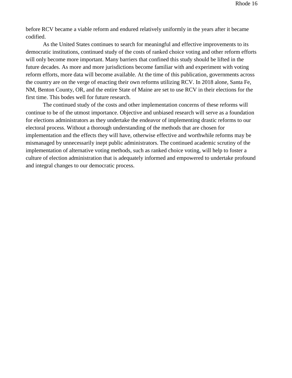before RCV became a viable reform and endured relatively uniformly in the years after it became codified.

As the United States continues to search for meaningful and effective improvements to its democratic institutions, continued study of the costs of ranked choice voting and other reform efforts will only become more important. Many barriers that confined this study should be lifted in the future decades. As more and more jurisdictions become familiar with and experiment with voting reform efforts, more data will become available. At the time of this publication, governments across the country are on the verge of enacting their own reforms utilizing RCV. In 2018 alone, Santa Fe, NM, Benton County, OR, and the entire State of Maine are set to use RCV in their elections for the first time. This bodes well for future research.

The continued study of the costs and other implementation concerns of these reforms will continue to be of the utmost importance. Objective and unbiased research will serve as a foundation for elections administrators as they undertake the endeavor of implementing drastic reforms to our electoral process. Without a thorough understanding of the methods that are chosen for implementation and the effects they will have, otherwise effective and worthwhile reforms may be mismanaged by unnecessarily inept public administrators. The continued academic scrutiny of the implementation of alternative voting methods, such as ranked choice voting, will help to foster a culture of election administration that is adequately informed and empowered to undertake profound and integral changes to our democratic process.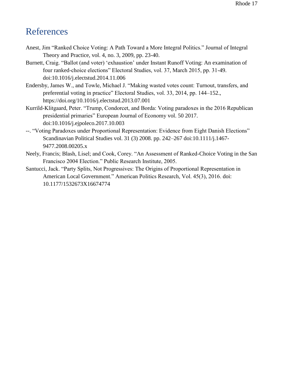### <span id="page-17-0"></span>References

- Anest, Jim "Ranked Choice Voting: A Path Toward a More Integral Politics." Journal of Integral Theory and Practice, vol. 4, no. 3, 2009, pp. 23-40.
- Burnett, Craig. "Ballot (and voter) 'exhaustion' under Instant Runoff Voting: An examination of four ranked-choice elections" Electoral Studies, vol. 37, March 2015, pp. 31-49. doi:10.1016/j.electstud.2014.11.006
- Endersby, James W., and Towle, Michael J. "Making wasted votes count: Turnout, transfers, and preferential voting in practice" Electoral Studies, vol. 33, 2014, pp. 144–152., https://doi.org/10.1016/j.electstud.2013.07.001
- Kurrild-Klitgaard, Peter. "Trump, Condorcet, and Borda: Voting paradoxes in the 2016 Republican presidential primaries" European Journal of Economy vol. 50 2017. doi:10.1016/j.ejpoleco.2017.10.003
- --. "Voting Paradoxes under Proportional Representation: Evidence from Eight Danish Elections" Scandinavian Political Studies vol. 31 (3) 2008. pp. 242–267 doi:10.1111/j.1467- 9477.2008.00205.x
- Neely, Francis; Blash, Lisel; and Cook, Corey. "An Assessment of Ranked-Choice Voting in the San Francisco 2004 Election." Public Research Institute, 2005.
- Santucci, Jack. "Party Splits, Not Progressives: The Origins of Proportional Representation in American Local Government." American Politics Research, Vol. 45(3), 2016. doi: 10.1177/1532673X16674774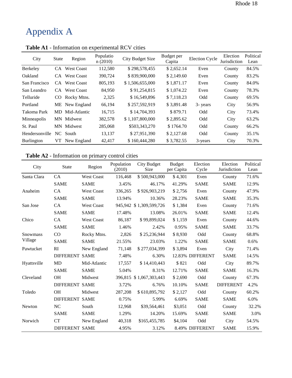# <span id="page-18-0"></span>Appendix A

| City              | <b>State</b> | Region            | Populatio<br>n(2010) | <b>City Budget Size</b> | Budget per<br><b>Election Cycle</b><br>Capita |          | Election<br>Jurisdiction | Political<br>Lean |
|-------------------|--------------|-------------------|----------------------|-------------------------|-----------------------------------------------|----------|--------------------------|-------------------|
| Berkeley          | CA.          | <b>West Coast</b> | 112,580              | \$298,578,455           | \$2,652.14                                    | Even     | County                   | 84.5%             |
| Oakland           | CA.          | <b>West Coast</b> | 390,724              | \$839,900,000           | \$2,149.60                                    | Even     | County                   | 83.2%             |
| San Francisco     |              | CA West Coast     | 805,193              | \$1,506,655,000         | \$1,871.17                                    | Even     | County                   | 84.0%             |
| San Leandro       | CA.          | <b>West Coast</b> | 84,950               | \$91,254,815            | \$1,074.22                                    | Even     | County                   | 78.3%             |
| Telluride         | CO.          | Rocky Mtns.       | 2,325                | \$16,549,896            | \$7,118.23                                    | Odd      | County                   | 69.5%             |
| Portland          |              | ME New England    | 66,194               | \$257,592,919           | \$3,891.48                                    | 3- years | City                     | 56.9%             |
| Takoma Park       | MD.          | Mid-Atlantic      | 16.715               | \$14,704,393            | \$879.71                                      | Odd      | City                     | 73.4%             |
| Minneapolis       | MN.          | Midwest           | 382,578              | \$1,107,800,000         | \$2,895.62                                    | Odd      | City                     | 63.2%             |
| St. Paul          | MN.          | Midwest           | 285,068              | \$503,343,270           | \$1764.70                                     | Odd      | County                   | 66.2%             |
| Hendersonville    |              | NC South          | 13,137               | \$27,951,390            | \$2,127.68                                    | Odd      | County                   | 35.1%             |
| <b>Burlington</b> | VT           | New England       | 42,417               | \$160,444,280           | \$3,782.55                                    | 3-years  | City                     | 70.3%             |

**Table A1** - Information on experimental RCV cities

**Table A2** - Information on primary control cities

| City            | <b>State</b>          | Region            | Population<br>(2010) | City Budget<br>Size     | <b>Budget</b><br>per Capita | Election<br>Cycle | Election<br>Jurisdiction | Political<br>Lean |
|-----------------|-----------------------|-------------------|----------------------|-------------------------|-----------------------------|-------------------|--------------------------|-------------------|
| Santa Clara     | CA                    | West Coast        | 116,468              | \$500,943,000           | \$4,301                     | Even              | County                   | 71.6%             |
|                 | <b>SAME</b>           | <b>SAME</b>       | 3.45%                | 46.17%                  | 41.29%                      | <b>SAME</b>       | <b>SAME</b>              | 12.9%             |
| Anaheim         | CA                    | <b>West Coast</b> | 336,265              | \$926,903,219           | \$2,756                     | Even              | County                   | 47.9%             |
|                 | <b>SAME</b>           | <b>SAME</b>       | 13.94%               | 10.36%                  | 28.23%                      | <b>SAME</b>       | <b>SAME</b>              | 35.3%             |
| San Jose        | CA                    | <b>West Coast</b> |                      | 945,942 \$1,309,599,726 | \$1,384                     | Even              | County                   | 71.6%             |
|                 | <b>SAME</b>           | <b>SAME</b>       | 17.48%               | 13.08%                  | 26.01%                      | <b>SAME</b>       | <b>SAME</b>              | 12.4%             |
| Chico           | CA                    | <b>West Coast</b> | 86,187               | \$99,899,024            | \$1,159                     | Even              | County                   | 44.6%             |
|                 | <b>SAME</b>           | <b>SAME</b>       | 1.46%                | 2.42%                   | 0.95%                       | <b>SAME</b>       | <b>SAME</b>              | 33.7%             |
| <b>Snowmass</b> | $\rm CO$              | Rocky Mtns.       | 2,826                | \$25,236,944            | \$8,930                     | Odd               | County                   | 68.8%             |
| Village         | <b>SAME</b>           | <b>SAME</b>       | 21.55%               | 23.03%                  | 1.22%                       | <b>SAME</b>       | <b>SAME</b>              | 0.6%              |
| Pawtucket       | RI                    | New England       | 71,148               | \$277,034,399           | \$3,894                     | Even              | City                     | 71.4%             |
|                 | <b>DIFFERENT SAME</b> |                   | 7.48%                | 6.30%                   |                             | 12.83% DIFFERENT  | <b>SAME</b>              | 14.5%             |
| Hyattsville     | <b>MD</b>             | Mid-Atlantic      | 17,557               | \$14,410,443            | \$821                       | Odd               | City                     | 89.7%             |
|                 | <b>SAME</b>           | <b>SAME</b>       | 5.04%                | 8.31%                   | 12.71%                      | <b>SAME</b>       | <b>SAME</b>              | 16.3%             |
| Cleveland       | <b>OH</b>             | Midwest           |                      | 396,815 \$1,067,303,443 | \$2,690                     | Odd               | County                   | 67.3%             |
|                 | <b>DIFFERENT SAME</b> |                   | 3.72%                | 6.76%                   | 10.10%                      | <b>SAME</b>       | <b>DIFFERENT</b>         | 4.2%              |
| Toledo          | <b>OH</b>             | Midwest           | 287,208              | \$610,895,792           | \$2,127                     | Odd               | County                   | 60.2%             |
|                 | <b>DIFFERENT SAME</b> |                   | 0.75%                | 5.99%                   | 6.69%                       | <b>SAME</b>       | <b>SAME</b>              | 6.0%              |
| Newton          | NC                    | South             | 12,968               | \$39,564,461            | \$3,051                     | Odd               | County                   | 32.2%             |
|                 | <b>SAME</b>           | <b>SAME</b>       | 1.29%                | 14.20%                  | 15.69%                      | <b>SAME</b>       | <b>SAME</b>              | 3.0%              |
| Norwich         | CT                    | New England       | 40,318               | \$165,455,785           | \$4,104                     | Odd               | City                     | 54.5%             |
|                 | <b>DIFFERENT SAME</b> |                   | 4.95%                | 3.12%                   |                             | 8.49% DIFFERENT   | <b>SAME</b>              | 15.9%             |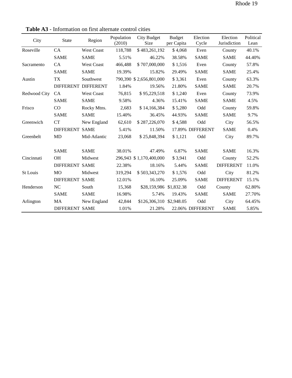| City         | <b>State</b>          | Region              | Population<br>(2010) | City Budget<br>Size      | <b>Budget</b><br>per Capita | Election<br>Cycle | Election<br>Jurisdiction | Political<br>Lean |
|--------------|-----------------------|---------------------|----------------------|--------------------------|-----------------------------|-------------------|--------------------------|-------------------|
| Roseville    | CA                    | <b>West Coast</b>   | 118,788              | \$483,261,192            | \$4,068                     | Even              | County                   | 40.1%             |
|              | <b>SAME</b>           | <b>SAME</b>         | 5.51%                | 46.22%                   | 38.58%                      | <b>SAME</b>       | <b>SAME</b>              | 44.40%            |
| Sacramento   | CA                    | <b>West Coast</b>   | 466,488              | \$707,000,000            | \$1,516                     | Even              | County                   | 57.8%             |
|              | <b>SAME</b>           | <b>SAME</b>         | 19.39%               | 15.82%                   | 29.49%                      | <b>SAME</b>       | <b>SAME</b>              | 25.4%             |
| Austin       | TX                    | Southwest           |                      | 790,390 \$2,656,801,000  | \$3,361                     | Even              | County                   | 63.3%             |
|              |                       | DIFFERENT DIFFERENT | 1.84%                | 19.56%                   | 21.80%                      | <b>SAME</b>       | <b>SAME</b>              | 20.7%             |
| Redwood City | <b>CA</b>             | <b>West Coast</b>   | 76,815               | \$95,229,518             | \$1,240                     | Even              | County                   | 73.9%             |
|              | <b>SAME</b>           | <b>SAME</b>         | 9.58%                | 4.36%                    | 15.41%                      | <b>SAME</b>       | <b>SAME</b>              | 4.5%              |
| Frisco       | CO                    | Rocky Mtns.         | 2,683                | \$14,166,384             | \$5,280                     | Odd               | County                   | 59.8%             |
|              | <b>SAME</b>           | <b>SAME</b>         | 15.40%               | 36.45%                   | 44.93%                      | <b>SAME</b>       | <b>SAME</b>              | 9.7%              |
| Greenwich    | CT                    | New England         | 62,610               | \$287,226,070            | \$4,588                     | Odd               | City                     | 56.5%             |
|              | <b>DIFFERENT SAME</b> |                     | 5.41%                | 11.50%                   |                             | 17.89% DIFFERENT  | <b>SAME</b>              | 0.4%              |
| Greenbelt    | MD                    | Mid-Atlantic        | 23,068               | \$25,848,394             | \$1,121                     | Odd               | City                     | 89.7%             |
|              | <b>SAME</b>           | <b>SAME</b>         | 38.01%               | 47.49%                   | 6.87%                       | <b>SAME</b>       | <b>SAME</b>              | 16.3%             |
| Cincinnati   | <b>OH</b>             | Midwest             |                      | 296,943 \$1,170,400,000  | \$3,941                     | Odd               | County                   | 52.2%             |
|              | <b>DIFFERENT SAME</b> |                     | 22.38%               | 18.16%                   | 5.44%                       | <b>SAME</b>       | <b>DIFFERENT</b>         | 11.0%             |
| St Louis     | <b>MO</b>             | Midwest             | 319,294              | \$503,343,270            | \$1,576                     | Odd               | City                     | 81.2%             |
|              | <b>DIFFERENT SAME</b> |                     | 12.01%               | 16.10%                   | 25.09%                      | <b>SAME</b>       | <b>DIFFERENT</b>         | 15.1%             |
| Henderson    | <b>NC</b>             | South               | 15,368               | \$28,159,986 \$1,832.38  |                             | Odd               | County                   | 62.80%            |
|              | <b>SAME</b>           | <b>SAME</b>         | 16.98%               | 5.74%                    | 19.43%                      | <b>SAME</b>       | <b>SAME</b>              | 27.70%            |
| Arlington    | MA                    | New England         | 42,844               | \$126,306,310 \$2,948.05 |                             | Odd               | City                     | 64.45%            |
|              | <b>DIFFERENT SAME</b> |                     | 1.01%                | 21.28%                   |                             | 22.06% DIFFERENT  | <b>SAME</b>              | 5.85%             |

**Table A3** - Information on first alternate control cities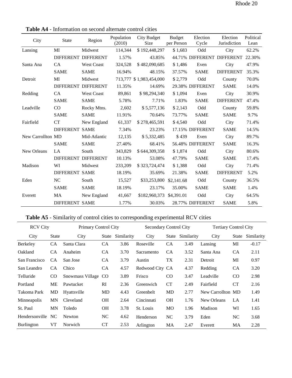| City              | State                 | Region              | Population<br>(2010) | City Budget<br>Size     | <b>Budget</b><br>per Person | Election<br>Cycle | Election<br>Jurisdiction   | Political<br>Lean |
|-------------------|-----------------------|---------------------|----------------------|-------------------------|-----------------------------|-------------------|----------------------------|-------------------|
| Lansing           | MI                    | Midwest             | 114,344              | \$192,448,297           | \$1,683                     | Odd               | City                       | 62.2%             |
|                   |                       | DIFFERENT DIFFERENT | 1.57%                | 43.85%                  |                             |                   | 44.71% DIFFERENT DIFFERENT | 22.30%            |
| Santa Ana         | <b>CA</b>             | <b>West Coast</b>   | 324,528              | \$482,090,685           | \$1,486                     | Even              | City                       | 47.9%             |
|                   | <b>SAME</b>           | <b>SAME</b>         | 16.94%               | 48.15%                  | 37.57%                      | <b>SAME</b>       | <b>DIFFERENT</b>           | 35.3%             |
| Detroit           | MI                    | Midwest             |                      | 713,777 \$1,983,454,000 | \$2,779                     | Odd               | County                     | 70.0%             |
|                   |                       | DIFFERENT DIFFERENT | 11.35%               | 14.69%                  |                             | 29.38% DIFFERENT  | <b>SAME</b>                | 14.0%             |
| Redding           | CA                    | <b>West Coast</b>   | 89,861               | \$98,294,340            | \$1,094                     | Even              | City                       | 30.9%             |
|                   | <b>SAME</b>           | <b>SAME</b>         | 5.78%                | 7.71%                   | 1.83%                       | <b>SAME</b>       | <b>DIFFERENT</b>           | 47.4%             |
| Leadville         | CO                    | Rocky Mtns.         | 2,602                | \$5,577,136             | \$2,143                     | Odd               | County                     | 59.8%             |
|                   | <b>SAME</b>           | <b>SAME</b>         | 11.91%               | 70.64%                  | 73.77%                      | <b>SAME</b>       | <b>SAME</b>                | 9.7%              |
| Fairfield         | <b>CT</b>             | New England         | 61,337               | \$278,465,591           | \$4,540                     | Odd               | City                       | 71.4%             |
|                   | <b>DIFFERENT SAME</b> |                     | 7.34%                | 23.23%                  |                             | 17.15% DIFFERENT  | <b>SAME</b>                | 14.5%             |
| New Carrollton MD |                       | Mid-Atlantic        | 12,135               | \$5,332,485             | \$439                       | Even              | City                       | 89.7%             |
|                   | <b>SAME</b>           | <b>SAME</b>         | 27.40%               | 68.41%                  |                             | 56.48% DIFFERENT  | <b>SAME</b>                | 16.3%             |
| New Orleans       | LA                    | South               | 343,829              | \$644,309,358           | \$1,874                     | Odd               | City                       | 80.6%             |
|                   |                       | DIFFERENT DIFFERENT | 10.13%               | 53.08%                  | 47.79%                      | <b>SAME</b>       | <b>SAME</b>                | 17.4%             |
| Madison           | WI                    | Midwest             | 233,209              | \$323,724,474           | \$1,388                     | Odd               | City                       | 71.4%             |
|                   | <b>DIFFERENT SAME</b> |                     | 18.19%               | 35.69%                  | 21.38%                      | <b>SAME</b>       | <b>DIFFERENT</b>           | 5.2%              |
| Eden              | <b>NC</b>             | South               | 15,527               | \$33,253,800            | \$2,141.68                  | Odd               | County                     | 36.5%             |
|                   | <b>SAME</b>           | <b>SAME</b>         | 18.19%               | 23.17%                  | 35.00%                      | <b>SAME</b>       | <b>SAME</b>                | 1.4%              |
| Everett           | MA                    | New England         | 41,667               | \$182,960,373           | \$4,391.01                  | Odd               | City                       | 64.5%             |
|                   | <b>DIFFERENT SAME</b> |                     | 1.77%                | 30.03%                  |                             | 28.77% DIFFERENT  | <b>SAME</b>                | 5.8%              |

**Table A4** - Information on second alternate control cities

### **Table A5** - Similarity of control cities to corresponding experimental RCV cities

| <b>RCV City</b> |              | Primary Control City |           |            |                 | Secondary Control City |            |                   | <b>Tertiary Control City</b> |            |  |
|-----------------|--------------|----------------------|-----------|------------|-----------------|------------------------|------------|-------------------|------------------------------|------------|--|
| City            | <b>State</b> | City                 | State     | Similarity | City            | State                  | Similarity | City              | State                        | Similarity |  |
| Berkeley        | <b>CA</b>    | Santa Clara          | <b>CA</b> | 3.86       | Roseville       | <b>CA</b>              | 3.49       | Lansing           | MI                           | $-0.17$    |  |
| Oakland         | <b>CA</b>    | Anaheim              | <b>CA</b> | 3.70       | Sacramento      | CA                     | 3.52       | Santa Ana         | CA                           | 2.11       |  |
| San Francisco   | CA           | San Jose             | <b>CA</b> | 3.79       | Austin          | TX                     | 2.31       | Detroit           | MI                           | 0.97       |  |
| San Leandro     | CA.          | Chico                | <b>CA</b> | 4.57       | Redwood City CA |                        | 4.37       | Redding           | CA                           | 3.20       |  |
| Telluride       | CO           | Snowmass Village CO  |           | 3.89       | Frisco          | <b>CO</b>              | 3.47       | Leadville         | CO.                          | 2.98       |  |
| Portland        | МE           | Pawtucket            | RI        | 2.36       | Greenwich       | <b>CT</b>              | 2.49       | Fairfield         | <b>CT</b>                    | 2.16       |  |
| Takoma Park     | MD           | Hyattsville          | <b>MD</b> | 4.43       | Greenbelt       | MD                     | 2.77       | New Carrollton MD |                              | 1.49       |  |
| Minneapolis     | MN           | Cleveland            | <b>OH</b> | 2.64       | Cincinnati      | <b>OH</b>              | 1.76       | New Orleans       | LA                           | 1.41       |  |
| St. Paul        | MN           | Toledo               | <b>OH</b> | 3.78       | St. Louis       | <b>MO</b>              | 1.96       | Madison           | WI                           | 1.65       |  |
| Hendersonville  | NC.          | Newton               | NC        | 4.62       | Henderson       | NC                     | 3.79       | Eden              | NC                           | 3.68       |  |
| Burlington      | VT           | Norwich              | CT        | 2.53       | Arlington       | MA                     | 2.47       | Everett           | MA                           | 2.28       |  |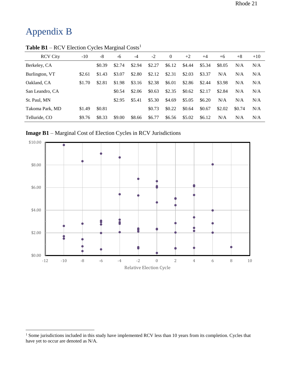## <span id="page-21-0"></span>Appendix B

 $\overline{a}$ 

|                 |        |        | ັ      |        |        |          |        |        |        |        |       |
|-----------------|--------|--------|--------|--------|--------|----------|--------|--------|--------|--------|-------|
| <b>RCV City</b> | $-10$  | -8     | -6     | -4     | $-2$   | $\Omega$ | $+2$   | $+4$   | $+6$   | $+8$   | $+10$ |
| Berkeley, CA    |        | \$0.39 | \$2.74 | \$2.94 | \$2.27 | \$6.12   | \$4.44 | \$5.34 | \$8.05 | N/A    | N/A   |
| Burlington, VT  | \$2.61 | \$1.43 | \$3.07 | \$2.80 | \$2.12 | \$2.31   | \$2.03 | \$3.37 | N/A    | N/A    | N/A   |
| Oakland, CA     | \$1.70 | \$2.81 | \$1.98 | \$3.16 | \$2.38 | \$6.01   | \$2.86 | \$2.44 | \$3.98 | N/A    | N/A   |
| San Leandro, CA |        |        | \$0.54 | \$2.06 | \$0.63 | \$2.35   | \$0.62 | \$2.17 | \$2.84 | N/A    | N/A   |
| St. Paul, MN    |        |        | \$2.95 | \$5.41 | \$5.30 | \$4.69   | \$5.05 | \$6.20 | N/A    | N/A    | N/A   |
| Takoma Park, MD | \$1.49 | \$0.81 |        |        | \$0.73 | \$0.22   | \$0.64 | \$0.67 | \$2.02 | \$0.74 | N/A   |
| Telluride, CO   | \$9.76 | \$8.33 | \$9.00 | \$8.66 | \$6.77 | \$6.56   | \$5.02 | \$6.12 | N/A    | N/A    | N/A   |

**Table B1** – RCV Election Cycles Marginal Costs<sup>1</sup>

**Image B1** – Marginal Cost of Election Cycles in RCV Jurisdictions



<sup>&</sup>lt;sup>1</sup> Some jurisdictions included in this study have implemented RCV less than 10 years from its completion. Cycles that have yet to occur are denoted as N/A.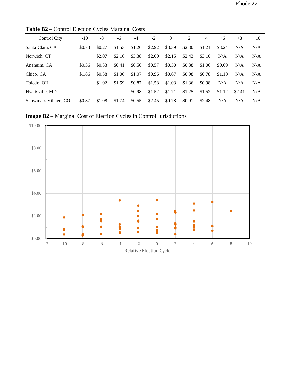| Control City         | $-10$  | -8     | -6     | $-4$   | $-2$   | $\Omega$ | $+2$   | $+4$   | $+6$   | $+8$   | $+10$ |
|----------------------|--------|--------|--------|--------|--------|----------|--------|--------|--------|--------|-------|
| Santa Clara, CA      | \$0.73 | \$0.27 | \$1.53 | \$1.26 | \$2.92 | \$3.39   | \$2.30 | \$1.21 | \$3.24 | N/A    | N/A   |
| Norwich, CT          |        | \$2.07 | \$2.16 | \$3.38 | \$2.00 | \$2.15   | \$2.43 | \$3.10 | N/A    | N/A    | N/A   |
| Anaheim, CA          | \$0.36 | \$0.33 | \$0.41 | \$0.50 | \$0.57 | \$0.50   | \$0.38 | \$1.06 | \$0.69 | N/A    | N/A   |
| Chico, CA            | \$1.86 | \$0.38 | \$1.06 | \$1.07 | \$0.96 | \$0.67   | \$0.98 | \$0.78 | \$1.10 | N/A    | N/A   |
| Toledo, OH           |        | \$1.02 | \$1.59 | \$0.87 | \$1.58 | \$1.03   | \$1.36 | \$0.98 | N/A    | N/A    | N/A   |
| Hyattsville, MD      |        |        |        | \$0.98 | \$1.52 | \$1.71   | \$1.25 | \$1.52 | \$1.12 | \$2.41 | N/A   |
| Snowmass Village, CO | \$0.87 | \$1.08 | \$1.74 | \$0.55 | \$2.45 | \$0.78   | \$0.91 | \$2.48 | N/A    | N/A    | N/A   |

**Table B2** – Control Election Cycles Marginal Costs

**Image B2** – Marginal Cost of Election Cycles in Control Jurisdictions

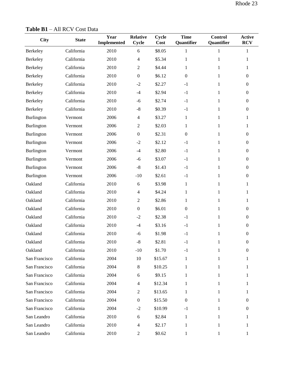| <b>City</b>   | <b>State</b> | Year<br><b>Implemented</b> | <b>Relative</b><br><b>Cycle</b> | Cycle<br>Cost | <b>Time</b><br>Quantifier | <b>Control</b><br>Quantifier | <b>Active</b><br><b>RCV</b> |
|---------------|--------------|----------------------------|---------------------------------|---------------|---------------------------|------------------------------|-----------------------------|
| Berkeley      | California   | 2010                       | 6                               | \$8.05        | 1                         | $\mathbf{1}$                 | $\mathbf{1}$                |
| Berkeley      | California   | 2010                       | $\overline{4}$                  | \$5.34        | $\mathbf{1}$              | 1                            | 1                           |
| Berkeley      | California   | 2010                       | $\overline{2}$                  | \$4.44        | $\mathbf{1}$              | $\mathbf{1}$                 | 1                           |
| Berkeley      | California   | 2010                       | $\boldsymbol{0}$                | \$6.12        | $\boldsymbol{0}$          | $\mathbf{1}$                 | $\overline{0}$              |
| Berkeley      | California   | 2010                       | $-2$                            | \$2.27        | $-1$                      | $\mathbf{1}$                 | $\mathbf{0}$                |
| Berkeley      | California   | 2010                       | $-4$                            | \$2.94        | $-1$                      | $\mathbf{1}$                 | $\overline{0}$              |
| Berkeley      | California   | 2010                       | $-6$                            | \$2.74        | $-1$                      | 1                            | $\overline{0}$              |
| Berkeley      | California   | 2010                       | $-8$                            | \$0.39        | $-1$                      | 1                            | $\overline{0}$              |
| Burlington    | Vermont      | 2006                       | $\overline{4}$                  | \$3.27        | $\mathbf{1}$              | $\mathbf{1}$                 | 1                           |
| Burlington    | Vermont      | 2006                       | $\overline{2}$                  | \$2.03        | $\mathbf{1}$              | $\mathbf{1}$                 | $\mathbf{1}$                |
| Burlington    | Vermont      | 2006                       | $\boldsymbol{0}$                | \$2.31        | $\boldsymbol{0}$          | $\mathbf{1}$                 | $\overline{0}$              |
| Burlington    | Vermont      | 2006                       | $-2$                            | \$2.12        | $-1$                      | 1                            | $\mathbf{0}$                |
| Burlington    | Vermont      | 2006                       | $-4$                            | \$2.80        | $-1$                      | $\mathbf{1}$                 | $\overline{0}$              |
| Burlington    | Vermont      | 2006                       | $-6$                            | \$3.07        | $-1$                      | $\mathbf{1}$                 | $\mathbf{0}$                |
| Burlington    | Vermont      | 2006                       | $-8$                            | \$1.43        | $-1$                      | $\mathbf{1}$                 | $\mathbf{0}$                |
| Burlington    | Vermont      | 2006                       | $-10$                           | \$2.61        | $-1$                      | $\mathbf{1}$                 | $\mathbf{0}$                |
| Oakland       | California   | 2010                       | 6                               | \$3.98        | $\mathbf{1}$              | 1                            | 1                           |
| Oakland       | California   | 2010                       | $\overline{4}$                  | \$4.24        | $\mathbf{1}$              | $\mathbf{1}$                 | 1                           |
| Oakland       | California   | 2010                       | $\overline{2}$                  | \$2.86        | $\mathbf{1}$              | 1                            | $\mathbf{1}$                |
| Oakland       | California   | 2010                       | $\boldsymbol{0}$                | \$6.01        | $\mathbf{0}$              | $\mathbf{1}$                 | $\mathbf{0}$                |
| Oakland       | California   | 2010                       | $-2$                            | \$2.38        | $-1$                      | $\mathbf{1}$                 | $\overline{0}$              |
| Oakland       | California   | 2010                       | $-4$                            | \$3.16        | $-1$                      | 1                            | $\overline{0}$              |
| Oakland       | California   | 2010                       | $-6$                            | \$1.98        | $-1$                      | $\mathbf{1}$                 | $\overline{0}$              |
| Oakland       | California   | 2010                       | $-8$                            | \$2.81        | $-1$                      | $\mathbf{1}$                 | $\boldsymbol{0}$            |
| Oakland       | California   | 2010                       | $-10$                           | \$1.70        | $-1$                      | 1                            | $\mathbf{0}$                |
| San Francisco | California   | 2004                       | 10                              | \$15.67       | 1                         | 1                            | 1                           |
| San Francisco | California   | 2004                       | $8\,$                           | \$10.25       | 1                         | 1                            | 1                           |
| San Francisco | California   | 2004                       | 6                               | \$9.15        | 1                         | 1                            | 1                           |
| San Francisco | California   | 2004                       | $\overline{4}$                  | \$12.34       | 1                         | 1                            | 1                           |
| San Francisco | California   | 2004                       | $\overline{2}$                  | \$13.65       | 1                         | 1                            | 1                           |
| San Francisco | California   | 2004                       | $\boldsymbol{0}$                | \$15.50       | $\boldsymbol{0}$          | 1                            | $\overline{0}$              |
| San Francisco | California   | 2004                       | $-2$                            | \$10.99       | $-1$                      | 1                            | 0                           |
| San Leandro   | California   | 2010                       | 6                               | \$2.84        | 1                         | 1                            | 1                           |
| San Leandro   | California   | 2010                       | $\overline{\mathcal{A}}$        | \$2.17        | 1                         | 1                            | 1                           |
| San Leandro   | California   | 2010                       | $\overline{2}$                  | \$0.62        | 1                         | 1                            | 1                           |

**Table B1** – All RCV Cost Data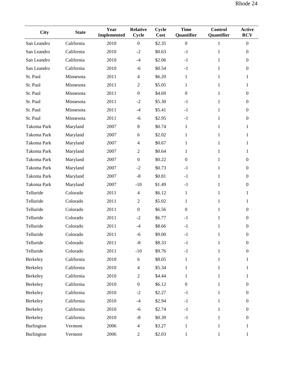| <b>City</b> | <b>State</b> | Year<br><b>Implemented</b> | <b>Relative</b><br>Cycle | Cycle<br>Cost | <b>Time</b><br>Quantifier | <b>Control</b><br>Quantifier | <b>Active</b><br><b>RCV</b> |
|-------------|--------------|----------------------------|--------------------------|---------------|---------------------------|------------------------------|-----------------------------|
| San Leandro | California   | 2010                       | $\boldsymbol{0}$         | \$2.35        | $\boldsymbol{0}$          | 1                            | $\boldsymbol{0}$            |
| San Leandro | California   | 2010                       | $-2$                     | \$0.63        | $-1$                      | $\mathbf{1}$                 | $\boldsymbol{0}$            |
| San Leandro | California   | 2010                       | $-4$                     | \$2.06        | $-1$                      | $\mathbf{1}$                 | $\boldsymbol{0}$            |
| San Leandro | California   | 2010                       | $-6$                     | \$0.54        | $-1$                      | $\mathbf{1}$                 | $\boldsymbol{0}$            |
| St. Paul    | Minnesota    | 2011                       | $\overline{4}$           | \$6.20        | $\mathbf{1}$              | $\mathbf{1}$                 | $\mathbf{1}$                |
| St. Paul    | Minnesota    | 2011                       | $\boldsymbol{2}$         | \$5.05        | $\mathbf{1}$              | 1                            | 1                           |
| St. Paul    | Minnesota    | 2011                       | $\boldsymbol{0}$         | \$4.69        | $\boldsymbol{0}$          | $\mathbf{1}$                 | $\overline{0}$              |
| St. Paul    | Minnesota    | 2011                       | $-2$                     | \$5.30        | $-1$                      | 1                            | $\boldsymbol{0}$            |
| St. Paul    | Minnesota    | 2011                       | $-4$                     | \$5.41        | $-1$                      | 1                            | $\theta$                    |
| St. Paul    | Minnesota    | 2011                       | $-6$                     | \$2.95        | $-1$                      | $\mathbf{1}$                 | $\overline{0}$              |
| Takoma Park | Maryland     | 2007                       | $\,8\,$                  | \$0.74        | $\mathbf{1}$              | 1                            | 1                           |
| Takoma Park | Maryland     | 2007                       | $\boldsymbol{6}$         | \$2.02        | $\mathbf{1}$              | $\mathbf{1}$                 | 1                           |
| Takoma Park | Maryland     | 2007                       | $\overline{4}$           | \$0.67        | $\mathbf{1}$              | $\mathbf{1}$                 | $\mathbf{1}$                |
| Takoma Park | Maryland     | 2007                       | $\sqrt{2}$               | \$0.64        | $\mathbf{1}$              | 1                            | $\mathbf{1}$                |
| Takoma Park | Maryland     | 2007                       | $\boldsymbol{0}$         | \$0.22        | $\overline{0}$            | $\mathbf{1}$                 | $\boldsymbol{0}$            |
| Takoma Park | Maryland     | 2007                       | $-2$                     | \$0.73        | $-1$                      | 1                            | $\overline{0}$              |
| Takoma Park | Maryland     | 2007                       | $-8$                     | \$0.81        | $-1$                      | $\mathbf{1}$                 | $\mathbf{0}$                |
| Takoma Park | Maryland     | 2007                       | $-10$                    | \$1.49        | $-1$                      | 1                            | $\boldsymbol{0}$            |
| Telluride   | Colorado     | 2011                       | $\overline{4}$           | \$6.12        | $\mathbf{1}$              | $\mathbf{1}$                 | $\mathbf{1}$                |
| Telluride   | Colorado     | 2011                       | $\boldsymbol{2}$         | \$5.02        | $\mathbf{1}$              | $\mathbf{1}$                 | 1                           |
| Telluride   | Colorado     | 2011                       | $\boldsymbol{0}$         | \$6.56        | $\boldsymbol{0}$          | 1                            | $\boldsymbol{0}$            |
| Telluride   | Colorado     | 2011                       | $-2$                     | \$6.77        | $-1$                      | 1                            | $\overline{0}$              |
| Telluride   | Colorado     | 2011                       | $-4$                     | \$8.66        | $-1$                      | $\mathbf{1}$                 | $\boldsymbol{0}$            |
| Telluride   | Colorado     | 2011                       | $-6$                     | \$9.00        | $-1$                      | 1                            | $\boldsymbol{0}$            |
| Telluride   | Colorado     | 2011                       | $\mbox{-}8$              | \$8.33        | $-1$                      | $\mathbf{1}$                 | $\boldsymbol{0}$            |
| Telluride   | Colorado     | 2011                       | $-10$                    | \$9.76        | $-1$                      | $\mathbf{1}$                 | $\boldsymbol{0}$            |
| Berkeley    | California   | 2010                       | $\sqrt{6}$               | \$8.05        | $\mathbf{1}$              | $\mathbf{1}$                 | $\mathbf{1}$                |
| Berkeley    | California   | 2010                       | $\overline{4}$           | \$5.34        | $\mathbf{1}$              | 1                            | 1                           |
| Berkeley    | California   | 2010                       | $\mathfrak{2}$           | \$4.44        | 1                         | $\mathbf{1}$                 | $\mathbf{1}$                |
| Berkeley    | California   | 2010                       | $\boldsymbol{0}$         | \$6.12        | $\overline{0}$            | 1                            | $\overline{0}$              |
| Berkeley    | California   | 2010                       | $-2$                     | \$2.27        | $-1$                      | $\mathbf{1}$                 | $\boldsymbol{0}$            |
| Berkeley    | California   | 2010                       | $-4$                     | \$2.94        | $-1$                      | 1                            | $\overline{0}$              |
| Berkeley    | California   | 2010                       | $-6$                     | \$2.74        | $-1$                      | $\mathbf{1}$                 | $\boldsymbol{0}$            |
| Berkeley    | California   | 2010                       | $-8$                     | \$0.39        | $-1$                      | $\mathbf{1}$                 | $\boldsymbol{0}$            |
| Burlington  | Vermont      | 2006                       | $\overline{4}$           | \$3.27        | $\mathbf{1}$              | $\mathbf{1}$                 | 1                           |
| Burlington  | Vermont      | 2006                       | $\overline{c}$           | \$2.03        | $\mathbf{1}$              | $\mathbf{1}$                 | $\mathbf{1}$                |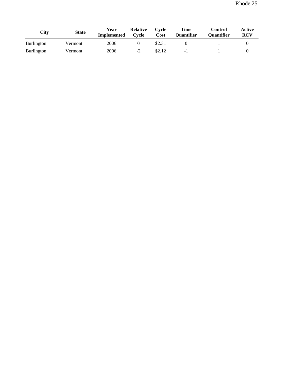| City              | <b>State</b> | Year<br><b>Implemented</b> | <b>Relative</b><br>Cycle | Cycle<br>Cost | Time<br><b>Ouantifier</b> | <b>Control</b><br><b>Ouantifier</b> | Active<br><b>RCV</b> |
|-------------------|--------------|----------------------------|--------------------------|---------------|---------------------------|-------------------------------------|----------------------|
| <b>Burlington</b> | Vermont      | 2006                       |                          | \$2.31        |                           |                                     |                      |
| <b>Burlington</b> | Vermont      | 2006                       | $-2$                     | \$2.12        | -1                        |                                     |                      |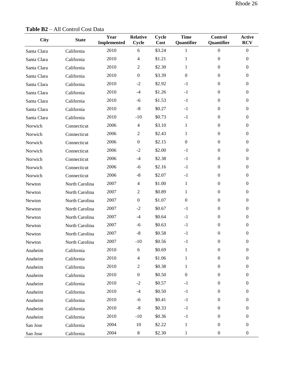| <b>City</b> | <b>State</b>   | Year<br><b>Implemented</b> | <b>Relative</b><br>Cycle | Cycle<br>Cost | <b>Time</b><br>Quantifier | <b>Control</b><br>Quantifier | <b>Active</b><br><b>RCV</b> |
|-------------|----------------|----------------------------|--------------------------|---------------|---------------------------|------------------------------|-----------------------------|
| Santa Clara | California     | 2010                       | 6                        | \$3.24        | $\mathbf 1$               | $\boldsymbol{0}$             | $\overline{0}$              |
| Santa Clara | California     | 2010                       | $\overline{4}$           | \$1.21        | $\mathbf{1}$              | $\mathbf{0}$                 | $\overline{0}$              |
| Santa Clara | California     | 2010                       | $\overline{c}$           | \$2.30        | $\mathbf{1}$              | $\mathbf{0}$                 | $\boldsymbol{0}$            |
| Santa Clara | California     | 2010                       | $\overline{0}$           | \$3.39        | $\mathbf{0}$              | $\mathbf{0}$                 | $\boldsymbol{0}$            |
| Santa Clara | California     | 2010                       | $-2$                     | \$2.92        | $-1$                      | $\mathbf{0}$                 | $\boldsymbol{0}$            |
| Santa Clara | California     | 2010                       | $-4$                     | \$1.26        | $-1$                      | $\mathbf{0}$                 | $\boldsymbol{0}$            |
| Santa Clara | California     | 2010                       | $-6$                     | \$1.53        | $-1$                      | $\mathbf{0}$                 | $\boldsymbol{0}$            |
| Santa Clara | California     | 2010                       | $-8$                     | \$0.27        | $-1$                      | $\mathbf{0}$                 | $\boldsymbol{0}$            |
| Santa Clara | California     | 2010                       | $-10$                    | \$0.73        | $-1$                      | $\mathbf{0}$                 | $\boldsymbol{0}$            |
| Norwich     | Connecticut    | 2006                       | $\overline{4}$           | \$3.10        | $\mathbf{1}$              | $\mathbf{0}$                 | $\boldsymbol{0}$            |
| Norwich     | Connecticut    | 2006                       | $\overline{c}$           | \$2.43        | 1                         | $\mathbf{0}$                 | $\boldsymbol{0}$            |
| Norwich     | Connecticut    | 2006                       | $\boldsymbol{0}$         | \$2.15        | $\mathbf{0}$              | $\mathbf{0}$                 | $\boldsymbol{0}$            |
| Norwich     | Connecticut    | 2006                       | $-2$                     | \$2.00        | $-1$                      | $\boldsymbol{0}$             | $\boldsymbol{0}$            |
| Norwich     | Connecticut    | 2006                       | $-4$                     | \$2.38        | $-1$                      | $\Omega$                     | $\boldsymbol{0}$            |
| Norwich     | Connecticut    | 2006                       | $-6$                     | \$2.16        | $-1$                      | $\mathbf{0}$                 | $\boldsymbol{0}$            |
| Norwich     | Connecticut    | 2006                       | $-8$                     | \$2.07        | $-1$                      | $\mathbf{0}$                 | $\boldsymbol{0}$            |
| Newton      | North Carolina | 2007                       | $\overline{4}$           | \$1.00        | $\mathbf{1}$              | $\boldsymbol{0}$             | $\boldsymbol{0}$            |
| Newton      | North Carolina | 2007                       | $\overline{c}$           | \$0.89        | $\mathbf{1}$              | $\boldsymbol{0}$             | $\boldsymbol{0}$            |
| Newton      | North Carolina | 2007                       | $\overline{0}$           | \$1.07        | $\Omega$                  | $\Omega$                     | $\Omega$                    |
| Newton      | North Carolina | 2007                       | $-2$                     | \$0.67        | $-1$                      | $\mathbf{0}$                 | $\boldsymbol{0}$            |
| Newton      | North Carolina | 2007                       | $-4$                     | \$0.64        | $-1$                      | $\mathbf{0}$                 | $\boldsymbol{0}$            |
| Newton      | North Carolina | 2007                       | $-6$                     | \$0.63        | $-1$                      | $\mathbf{0}$                 | $\boldsymbol{0}$            |
| Newton      | North Carolina | 2007                       | $-8$                     | \$0.58        | $-1$                      | $\mathbf{0}$                 | $\overline{0}$              |
| Newton      | North Carolina | 2007                       | $-10$                    | \$0.56        | $-1$                      | $\mathbf{0}$                 | $\overline{0}$              |
| Anaheim     | California     | 2010                       | 6                        | \$0.69        | 1                         | $\boldsymbol{0}$             | $\boldsymbol{0}$            |
| Anaheim     | California     | 2010                       | $\overline{\mathcal{A}}$ | \$1.06        | $\mathbf{1}$              | $\boldsymbol{0}$             | $\boldsymbol{0}$            |
| Anaheim     | California     | 2010                       | $\overline{c}$           | \$0.38        | $\mathbf{1}$              | $\boldsymbol{0}$             | $\boldsymbol{0}$            |
| Anaheim     | California     | 2010                       | $\boldsymbol{0}$         | \$0.50        | $\boldsymbol{0}$          | $\boldsymbol{0}$             | $\overline{0}$              |
| Anaheim     | California     | 2010                       | $-2$                     | \$0.57        | $-1$                      | $\boldsymbol{0}$             | $\overline{0}$              |
| Anaheim     | California     | 2010                       | $-4$                     | \$0.50        | $-1$                      | $\boldsymbol{0}$             | $\boldsymbol{0}$            |
| Anaheim     | California     | 2010                       | $-6$                     | \$0.41        | $-1$                      | $\boldsymbol{0}$             | $\boldsymbol{0}$            |
| Anaheim     | California     | 2010                       | $-8$                     | \$0.33        | $-1$                      | $\boldsymbol{0}$             | $\overline{0}$              |
| Anaheim     | California     | 2010                       | $-10$                    | \$0.36        | $-1$                      | $\boldsymbol{0}$             | $\boldsymbol{0}$            |
| San Jose    | California     | 2004                       | 10                       | \$2.22        | $\mathbf{1}$              | $\boldsymbol{0}$             | $\overline{0}$              |
| San Jose    | California     | 2004                       | $8\,$                    | \$2.30        | $\mathbf{1}$              | $\boldsymbol{0}$             | $\boldsymbol{0}$            |

**Table B2** – All Control Cost Data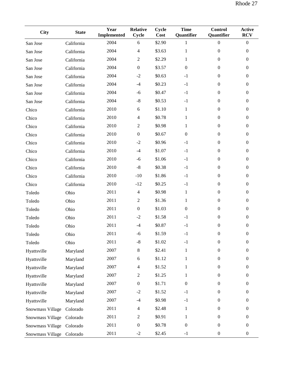| <b>City</b>               | <b>State</b> | Year<br><b>Implemented</b> | <b>Relative</b><br>Cycle | Cycle<br>Cost | <b>Time</b><br>Quantifier | Control<br>Quantifier | <b>Active</b><br><b>RCV</b> |
|---------------------------|--------------|----------------------------|--------------------------|---------------|---------------------------|-----------------------|-----------------------------|
| San Jose                  | California   | 2004                       | 6                        | \$2.90        | $\mathbf{1}$              | $\mathbf{0}$          | $\boldsymbol{0}$            |
| San Jose                  | California   | 2004                       | 4                        | \$3.63        | $\mathbf{1}$              | $\boldsymbol{0}$      | $\mathbf{0}$                |
| San Jose                  | California   | 2004                       | $\overline{c}$           | \$2.29        | 1                         | $\mathbf{0}$          | $\mathbf{0}$                |
| San Jose                  | California   | 2004                       | $\boldsymbol{0}$         | \$3.57        | $\boldsymbol{0}$          | $\mathbf{0}$          | $\mathbf{0}$                |
| San Jose                  | California   | 2004                       | $-2$                     | \$0.63        | $-1$                      | $\mathbf{0}$          | $\mathbf{0}$                |
| San Jose                  | California   | 2004                       | $-4$                     | \$0.23        | $-1$                      | $\mathbf{0}$          | $\mathbf{0}$                |
| San Jose                  | California   | 2004                       | $-6$                     | \$0.47        | $-1$                      | $\mathbf{0}$          | $\mathbf{0}$                |
| San Jose                  | California   | 2004                       | $-8$                     | \$0.53        | $-1$                      | $\mathbf{0}$          | $\boldsymbol{0}$            |
| Chico                     | California   | 2010                       | $\sqrt{6}$               | \$1.10        | $\mathbf{1}$              | $\mathbf{0}$          | $\boldsymbol{0}$            |
| Chico                     | California   | 2010                       | $\overline{4}$           | \$0.78        | $\mathbf{1}$              | $\mathbf{0}$          | $\boldsymbol{0}$            |
| Chico                     | California   | 2010                       | $\overline{c}$           | \$0.98        | $\mathbf{1}$              | $\boldsymbol{0}$      | $\mathbf{0}$                |
| Chico                     | California   | 2010                       | $\boldsymbol{0}$         | \$0.67        | $\boldsymbol{0}$          | $\mathbf{0}$          | $\mathbf{0}$                |
| Chico                     | California   | 2010                       | $-2$                     | \$0.96        | $-1$                      | $\mathbf{0}$          | $\mathbf{0}$                |
| Chico                     | California   | 2010                       | $-4$                     | \$1.07        | $-1$                      | $\mathbf{0}$          | $\theta$                    |
| Chico                     | California   | 2010                       | $-6$                     | \$1.06        | $-1$                      | $\overline{0}$        | $\mathbf{0}$                |
| Chico                     | California   | 2010                       | $-8$                     | \$0.38        | $-1$                      | $\mathbf{0}$          | $\mathbf{0}$                |
| Chico                     | California   | 2010                       | $-10$                    | \$1.86        | $-1$                      | $\mathbf{0}$          | $\boldsymbol{0}$            |
| Chico                     | California   | 2010                       | $-12$                    | \$0.25        | $-1$                      | $\mathbf{0}$          | $\mathbf{0}$                |
| Toledo                    | Ohio         | 2011                       | $\overline{4}$           | \$0.98        | $\mathbf{1}$              | $\mathbf{0}$          | $\boldsymbol{0}$            |
| Toledo                    | Ohio         | 2011                       | $\sqrt{2}$               | \$1.36        | $\mathbf{1}$              | $\mathbf{0}$          | $\mathbf{0}$                |
| Toledo                    | Ohio         | 2011                       | $\boldsymbol{0}$         | \$1.03        | $\boldsymbol{0}$          | $\mathbf{0}$          | $\mathbf{0}$                |
| Toledo                    | Ohio         | 2011                       | $-2$                     | \$1.58        | $-1$                      | $\mathbf{0}$          | $\mathbf{0}$                |
| Toledo                    | Ohio         | 2011                       | $-4$                     | \$0.87        | $-1$                      | $\overline{0}$        | $\boldsymbol{0}$            |
| Toledo                    | Ohio         | 2011                       | $-6$                     | \$1.59        | $-1$                      | $\boldsymbol{0}$      | $\boldsymbol{0}$            |
| Toledo                    | Ohio         | 2011                       | $-8$                     | \$1.02        | $-1$                      | $\boldsymbol{0}$      | $\boldsymbol{0}$            |
| Hyattsville               | Maryland     | 2007                       | 8                        | \$2.41        | $\mathbf{1}$              | $\Omega$              | $\theta$                    |
| Hyattsville               | Maryland     | 2007                       | 6                        | \$1.12        | 1                         | $\overline{0}$        | $\boldsymbol{0}$            |
| Hyattsville               | Maryland     | 2007                       | 4                        | \$1.52        | $\mathbf{1}$              | $\overline{0}$        | $\boldsymbol{0}$            |
| Hyattsville               | Maryland     | 2007                       | $\overline{c}$           | \$1.25        | $\mathbf{1}$              | $\boldsymbol{0}$      | $\boldsymbol{0}$            |
| Hyattsville               | Maryland     | 2007                       | $\boldsymbol{0}$         | \$1.71        | $\boldsymbol{0}$          | $\overline{0}$        | $\boldsymbol{0}$            |
| Hyattsville               | Maryland     | 2007                       | $-2$                     | \$1.52        | $-1$                      | $\boldsymbol{0}$      | $\boldsymbol{0}$            |
| Hyattsville               | Maryland     | 2007                       | $-4$                     | \$0.98        | $-1$                      | $\overline{0}$        | $\boldsymbol{0}$            |
| <b>Snowmass Village</b>   | Colorado     | 2011                       | 4                        | \$2.48        | $\mathbf{1}$              | $\mathbf{0}$          | $\theta$                    |
| Snowmass Village          | Colorado     | 2011                       | 2                        | \$0.91        | $\mathbf{1}$              | $\overline{0}$        | $\mathbf{0}$                |
| Snowmass Village          | Colorado     | 2011                       | $\boldsymbol{0}$         | \$0.78        | $\boldsymbol{0}$          | $\overline{0}$        | $\boldsymbol{0}$            |
| Snowmass Village Colorado |              | 2011                       | $-2$                     | \$2.45        | $-1$                      | $\boldsymbol{0}$      | $\boldsymbol{0}$            |